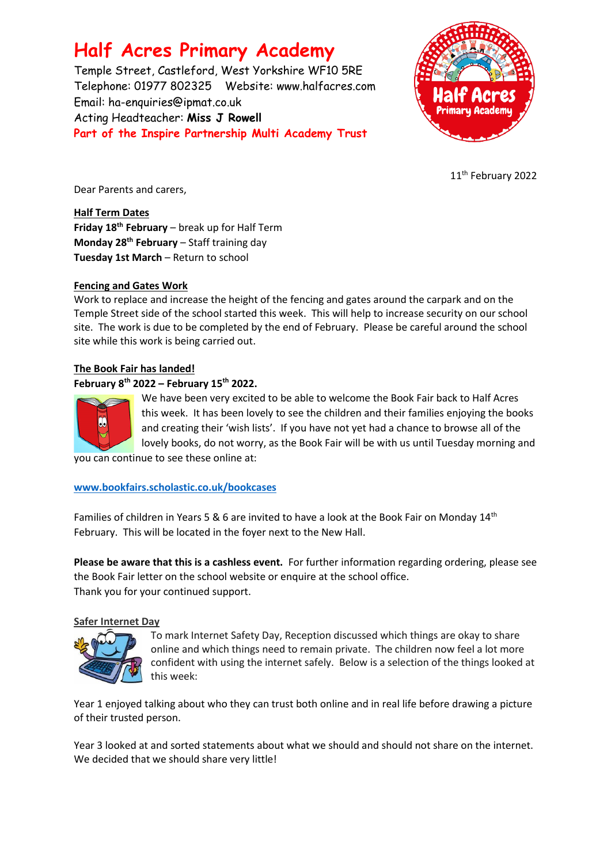# **Half Acres Primary Academy**

Temple Street, Castleford, West Yorkshire WF10 5RE Telephone: 01977 802325 Website: [www.halfacres.com](http://www.halfacres.com/) Email: ha-enquiries@ipmat.co.uk Acting Headteacher: **Miss J Rowell Part of the Inspire Partnership Multi Academy Trust**



11th February 2022

Dear Parents and carers,

**Half Term Dates Friday 18th February** – break up for Half Term **Monday 28th February** – Staff training day **Tuesday 1st March** – Return to school

# **Fencing and Gates Work**

Work to replace and increase the height of the fencing and gates around the carpark and on the Temple Street side of the school started this week. This will help to increase security on our school site. The work is due to be completed by the end of February. Please be careful around the school site while this work is being carried out.

# **The Book Fair has landed!**

## **February 8th 2022 – February 15 th 2022.**



We have been very excited to be able to welcome the Book Fair back to Half Acres this week. It has been lovely to see the children and their families enjoying the books and creating their 'wish lists'. If you have not yet had a chance to browse all of the lovely books, do not worry, as the Book Fair will be with us until Tuesday morning and

you can continue to see these online at:

## **[www.bookfairs.scholastic.co.uk/bookcases](http://www.bookfairs.scholastic.co.uk/bookcases)**

Families of children in Years 5 & 6 are invited to have a look at the Book Fair on Monday 14<sup>th</sup> February. This will be located in the foyer next to the New Hall.

**Please be aware that this is a cashless event.** For further information regarding ordering, please see the Book Fair letter on the school website or enquire at the school office. Thank you for your continued support.

## **Safer Internet Day**



To mark Internet Safety Day, Reception discussed which things are okay to share online and which things need to remain private. The children now feel a lot more confident with using the internet safely. Below is a selection of the things looked at this week:

Year 1 enjoyed talking about who they can trust both online and in real life before drawing a picture of their trusted person.

Year 3 looked at and sorted statements about what we should and should not share on the internet. We decided that we should share very little!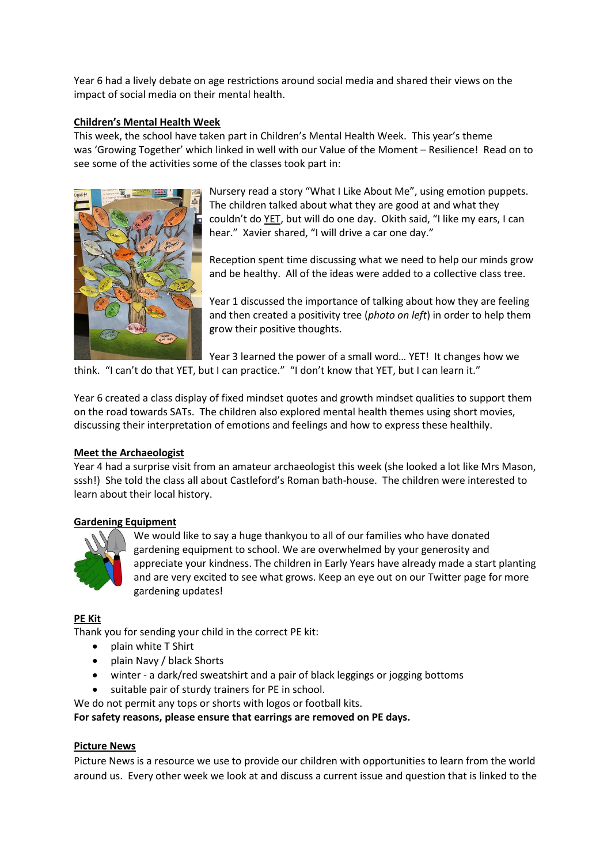Year 6 had a lively debate on age restrictions around social media and shared their views on the impact of social media on their mental health.

#### **Children's Mental Health Week**

This week, the school have taken part in Children's Mental Health Week. This year's theme was 'Growing Together' which linked in well with our Value of the Moment – Resilience! Read on to see some of the activities some of the classes took part in:



Nursery read a story "What I Like About Me", using emotion puppets. The children talked about what they are good at and what they couldn't do YET, but will do one day. Okith said, "I like my ears, I can hear." Xavier shared, "I will drive a car one day."

Reception spent time discussing what we need to help our minds grow and be healthy. All of the ideas were added to a collective class tree.

Year 1 discussed the importance of talking about how they are feeling and then created a positivity tree (*photo on left*) in order to help them grow their positive thoughts.

Year 3 learned the power of a small word… YET! It changes how we

think. "I can't do that YET, but I can practice." "I don't know that YET, but I can learn it."

Year 6 created a class display of fixed mindset quotes and growth mindset qualities to support them on the road towards SATs. The children also explored mental health themes using short movies, discussing their interpretation of emotions and feelings and how to express these healthily.

#### **Meet the Archaeologist**

Year 4 had a surprise visit from an amateur archaeologist this week (she looked a lot like Mrs Mason, sssh!) She told the class all about Castleford's Roman bath-house. The children were interested to learn about their local history.

#### **Gardening Equipment**



We would like to say a huge thankyou to all of our families who have donated gardening equipment to school. We are overwhelmed by your generosity and appreciate your kindness. The children in Early Years have already made a start planting and are very excited to see what grows. Keep an eye out on our Twitter page for more gardening updates!

#### **PE Kit**

Thank you for sending your child in the correct PE kit:

- plain white T Shirt
- plain Navy / black Shorts
- winter a dark/red sweatshirt and a pair of black leggings or jogging bottoms
- suitable pair of sturdy trainers for PE in school.

We do not permit any tops or shorts with logos or football kits.

**For safety reasons, please ensure that earrings are removed on PE days.**

#### **Picture News**

Picture News is a resource we use to provide our children with opportunities to learn from the world around us. Every other week we look at and discuss a current issue and question that is linked to the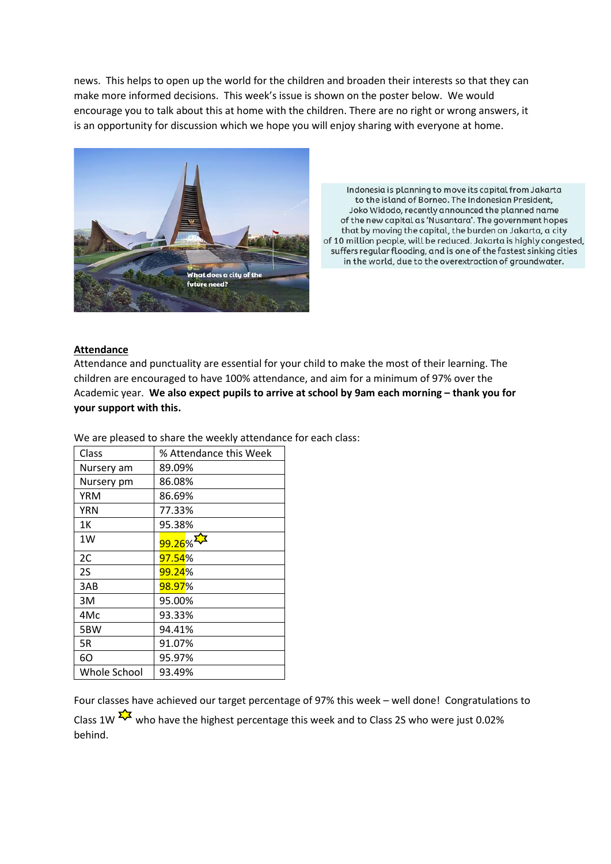news. This helps to open up the world for the children and broaden their interests so that they can make more informed decisions. This week's issue is shown on the poster below. We would encourage you to talk about this at home with the children. There are no right or wrong answers, it is an opportunity for discussion which we hope you will enjoy sharing with everyone at home.



Indonesia is planning to move its capital from Jakarta to the island of Borneo. The Indonesian President, Joko Widodo, recently announced the planned name of the new capital as 'Nusantara'. The government hopes that by moving the capital, the burden on Jakarta, a city of 10 million people, will be reduced. Jakarta is highly congested, suffers regular flooding, and is one of the fastest sinking cities in the world, due to the overextraction of groundwater.

#### **Attendance**

Attendance and punctuality are essential for your child to make the most of their learning. The children are encouraged to have 100% attendance, and aim for a minimum of 97% over the Academic year. We also expect pupils to arrive at school by 9am each morning - thank you for **your support with this.**

| Class        | % Attendance this Week |
|--------------|------------------------|
| Nursery am   | 89.09%                 |
| Nursery pm   | 86.08%                 |
| YRM          | 86.69%                 |
| YRN          | 77.33%                 |
| 1Κ           | 95.38%                 |
| 1W           | 99.26%                 |
| 2C           | 97.54%                 |
| 2S           | 99.24%                 |
| 3AB          | 98.97%                 |
| 3M           | 95.00%                 |
| 4Mc          | 93.33%                 |
| 5BW          | 94.41%                 |
| 5R           | 91.07%                 |
| 60           | 95.97%                 |
| Whole School | 93.49%                 |

We are pleased to share the weekly attendance for each class:

Four classes have achieved our target percentage of 97% this week – well done! Congratulations to Class 1W  $\frac{1}{2}$  who have the highest percentage this week and to Class 2S who were just 0.02% behind.